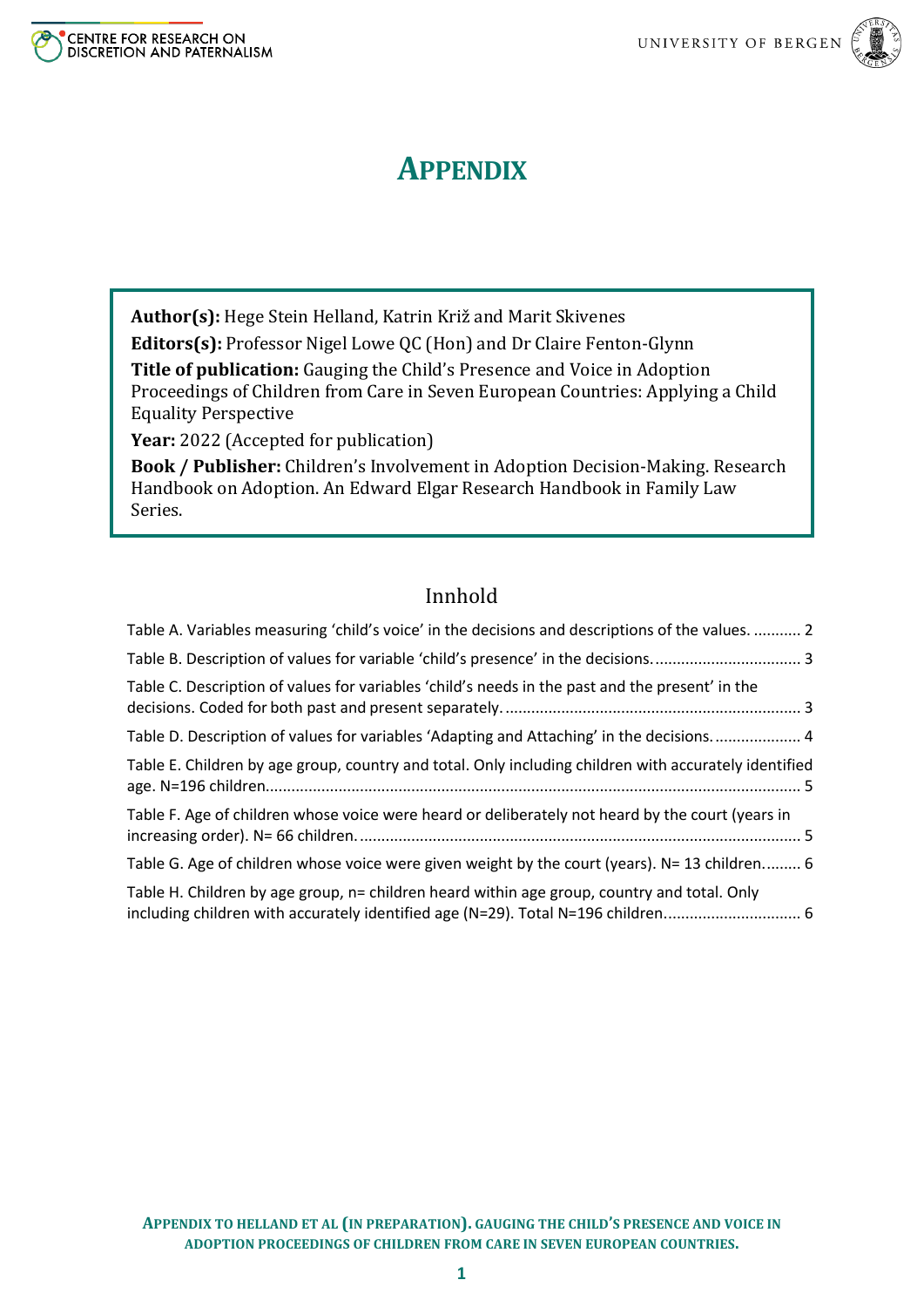



# **APPENDIX**

**Author(s):** Hege Stein Helland, Katrin Križ and Marit Skivenes

**Editors(s):** Professor Nigel Lowe QC (Hon) and Dr Claire Fenton-Glynn

**Title of publication:** Gauging the Child's Presence and Voice in Adoption Proceedings of Children from Care in Seven European Countries: Applying a Child Equality Perspective

**Year:** 2022 (Accepted for publication)

**Book / Publisher:** Children's Involvement in Adoption Decision-Making. Research Handbook on Adoption. An Edward Elgar Research Handbook in Family Law Series.

## Innhold

| Table A. Variables measuring 'child's voice' in the decisions and descriptions of the values.  2                                                                                |
|---------------------------------------------------------------------------------------------------------------------------------------------------------------------------------|
|                                                                                                                                                                                 |
| Table C. Description of values for variables 'child's needs in the past and the present' in the                                                                                 |
| Table D. Description of values for variables 'Adapting and Attaching' in the decisions 4                                                                                        |
| Table E. Children by age group, country and total. Only including children with accurately identified                                                                           |
| Table F. Age of children whose voice were heard or deliberately not heard by the court (years in                                                                                |
| Table G. Age of children whose voice were given weight by the court (years). N= 13 children 6                                                                                   |
| Table H. Children by age group, n= children heard within age group, country and total. Only<br>including children with accurately identified age (N=29). Total N=196 children 6 |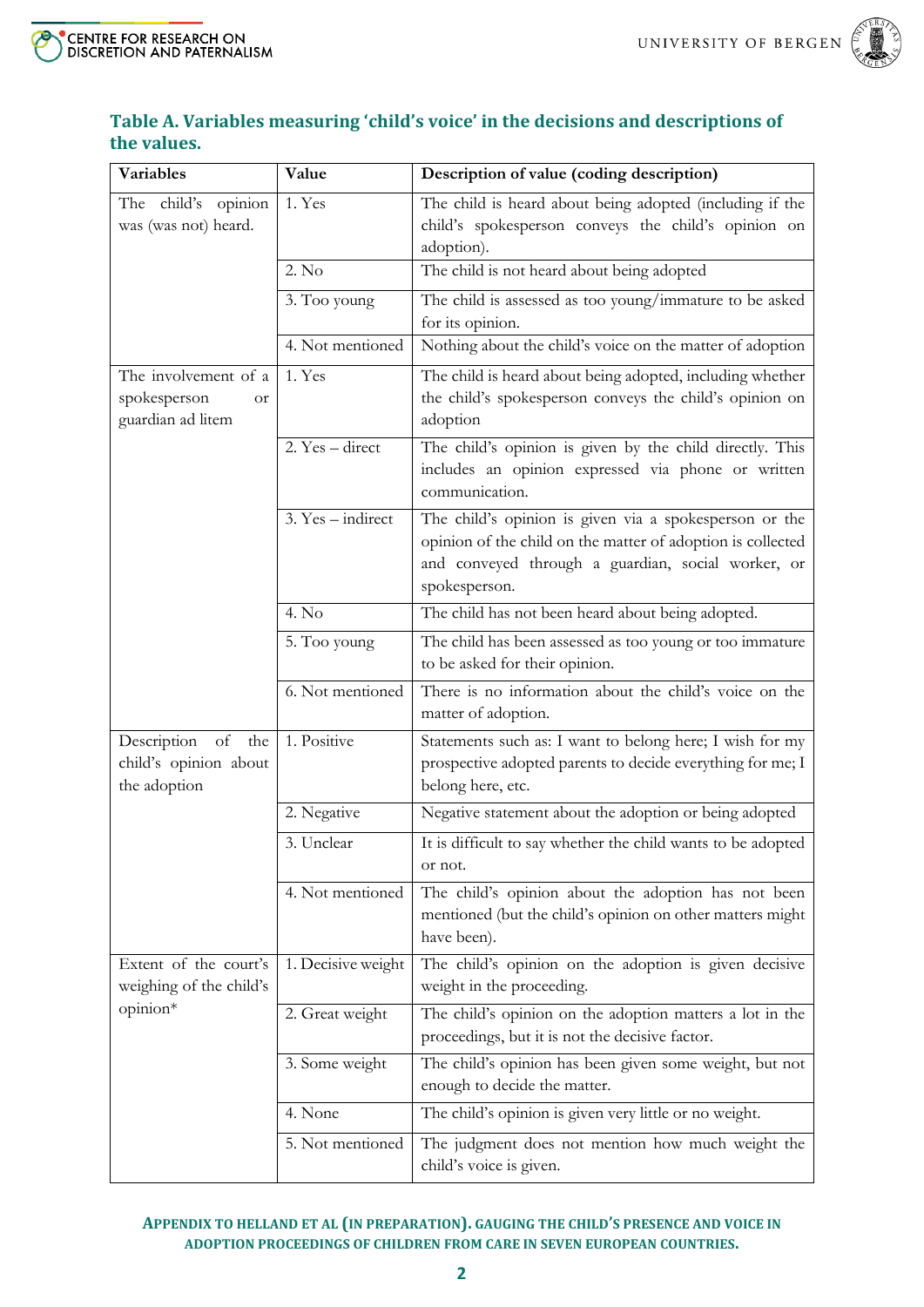



### <span id="page-1-0"></span>**Table A. Variables measuring 'child's voice' in the decisions and descriptions of the values.**

| <b>Variables</b>                                                | Value               | Description of value (coding description)                                                                                                                                                    |
|-----------------------------------------------------------------|---------------------|----------------------------------------------------------------------------------------------------------------------------------------------------------------------------------------------|
| The child's opinion<br>was (was not) heard.                     | 1. Yes              | The child is heard about being adopted (including if the<br>child's spokesperson conveys the child's opinion on<br>adoption).                                                                |
|                                                                 | 2. No               | The child is not heard about being adopted                                                                                                                                                   |
|                                                                 | 3. Too young        | The child is assessed as too young/immature to be asked<br>for its opinion.                                                                                                                  |
|                                                                 | 4. Not mentioned    | Nothing about the child's voice on the matter of adoption                                                                                                                                    |
| The involvement of a<br>spokesperson<br>or<br>guardian ad litem | 1. Yes              | The child is heard about being adopted, including whether<br>the child's spokesperson conveys the child's opinion on<br>adoption                                                             |
|                                                                 | 2. Yes - direct     | The child's opinion is given by the child directly. This<br>includes an opinion expressed via phone or written<br>communication.                                                             |
|                                                                 | $3. Yes - indirect$ | The child's opinion is given via a spokesperson or the<br>opinion of the child on the matter of adoption is collected<br>and conveyed through a guardian, social worker, or<br>spokesperson. |
|                                                                 | 4. No               | The child has not been heard about being adopted.                                                                                                                                            |
|                                                                 | 5. Too young        | The child has been assessed as too young or too immature<br>to be asked for their opinion.                                                                                                   |
|                                                                 | 6. Not mentioned    | There is no information about the child's voice on the<br>matter of adoption.                                                                                                                |
| Description of<br>the<br>child's opinion about<br>the adoption  | 1. Positive         | Statements such as: I want to belong here; I wish for my<br>prospective adopted parents to decide everything for me; I<br>belong here, etc.                                                  |
|                                                                 | 2. Negative         | Negative statement about the adoption or being adopted                                                                                                                                       |
|                                                                 | 3. Unclear          | It is difficult to say whether the child wants to be adopted<br>or not.                                                                                                                      |
|                                                                 | 4. Not mentioned    | The child's opinion about the adoption has not been<br>mentioned (but the child's opinion on other matters might<br>have been).                                                              |
| Extent of the court's<br>weighing of the child's                | 1. Decisive weight  | The child's opinion on the adoption is given decisive<br>weight in the proceeding.                                                                                                           |
| opinion*                                                        | 2. Great weight     | The child's opinion on the adoption matters a lot in the<br>proceedings, but it is not the decisive factor.                                                                                  |
|                                                                 | 3. Some weight      | The child's opinion has been given some weight, but not<br>enough to decide the matter.                                                                                                      |
|                                                                 | 4. None             | The child's opinion is given very little or no weight.                                                                                                                                       |
|                                                                 | 5. Not mentioned    | The judgment does not mention how much weight the<br>child's voice is given.                                                                                                                 |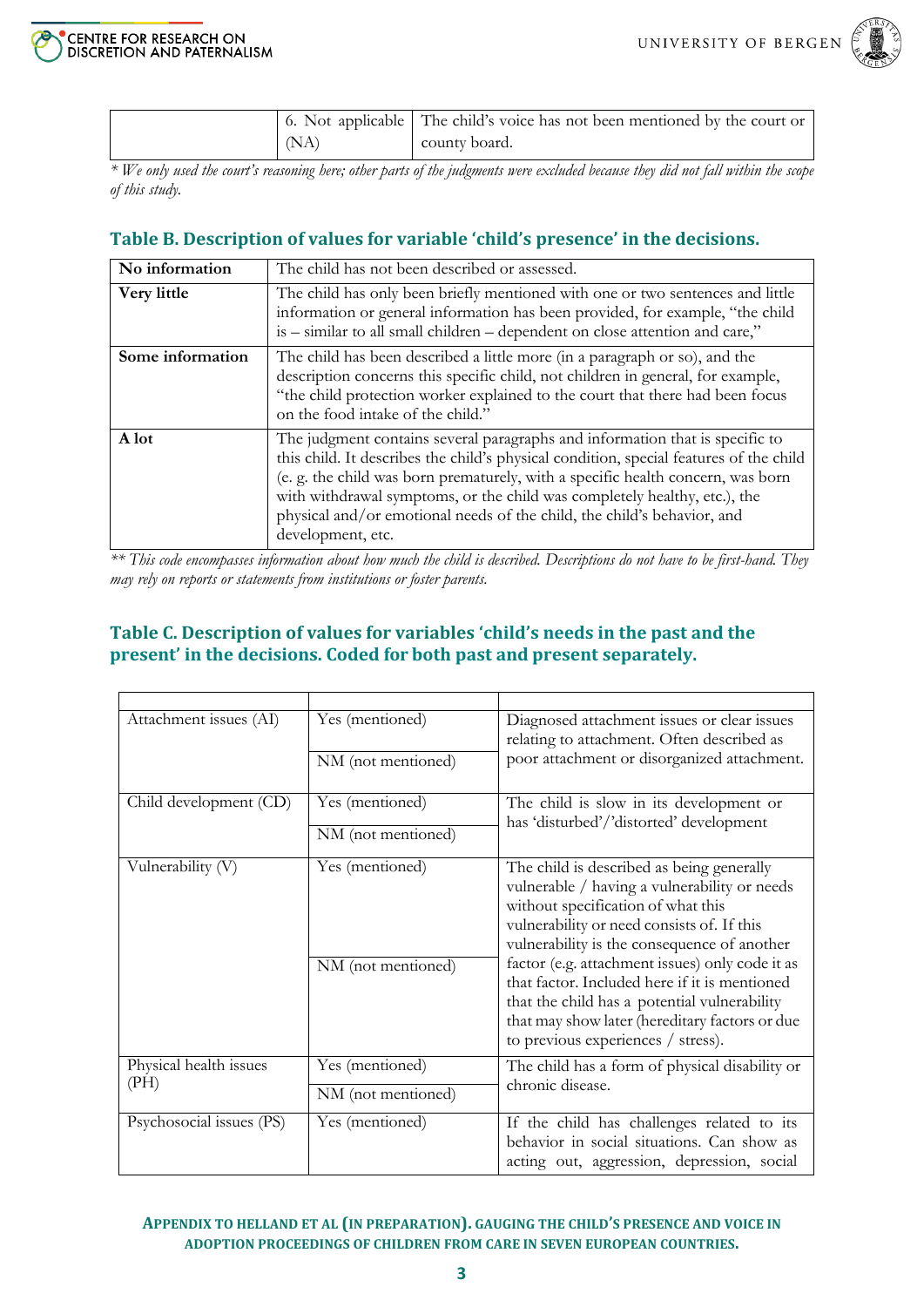

|      | 6. Not applicable The child's voice has not been mentioned by the court or |
|------|----------------------------------------------------------------------------|
| (NA) | county board.                                                              |

*\* We only used the court's reasoning here; other parts of the judgments were excluded because they did not fall within the scope of this study.*

#### <span id="page-2-0"></span>**Table B. Description of values for variable 'child's presence' in the decisions.**

| No information   | The child has not been described or assessed.                                                                                                                                                                                                                                                                                                                                                                                          |
|------------------|----------------------------------------------------------------------------------------------------------------------------------------------------------------------------------------------------------------------------------------------------------------------------------------------------------------------------------------------------------------------------------------------------------------------------------------|
| Very little      | The child has only been briefly mentioned with one or two sentences and little<br>information or general information has been provided, for example, "the child<br>is - similar to all small children - dependent on close attention and care,"                                                                                                                                                                                        |
| Some information | The child has been described a little more (in a paragraph or so), and the<br>description concerns this specific child, not children in general, for example,<br>"the child protection worker explained to the court that there had been focus<br>on the food intake of the child."                                                                                                                                                    |
| A lot            | The judgment contains several paragraphs and information that is specific to<br>this child. It describes the child's physical condition, special features of the child<br>(e. g. the child was born prematurely, with a specific health concern, was born<br>with withdrawal symptoms, or the child was completely healthy, etc.), the<br>physical and/or emotional needs of the child, the child's behavior, and<br>development, etc. |

*\*\* This code encompasses information about how much the child is described. Descriptions do not have to be first-hand. They may rely on reports or statements from institutions or foster parents.*

#### <span id="page-2-1"></span>**Table C. Description of values for variables 'child's needs in the past and the present' in the decisions. Coded for both past and present separately.**

| Attachment issues (AI)         | Yes (mentioned)                       | Diagnosed attachment issues or clear issues<br>relating to attachment. Often described as<br>poor attachment or disorganized attachment.                                                                                                 |  |  |  |
|--------------------------------|---------------------------------------|------------------------------------------------------------------------------------------------------------------------------------------------------------------------------------------------------------------------------------------|--|--|--|
|                                | NM (not mentioned)                    |                                                                                                                                                                                                                                          |  |  |  |
| Child development (CD)         | Yes (mentioned)                       | The child is slow in its development or<br>has 'disturbed'/'distorted' development                                                                                                                                                       |  |  |  |
|                                | NM (not mentioned)                    |                                                                                                                                                                                                                                          |  |  |  |
| Vulnerability (V)              | Yes (mentioned)                       | The child is described as being generally<br>vulnerable / having a vulnerability or needs<br>without specification of what this<br>vulnerability or need consists of. If this<br>vulnerability is the consequence of another             |  |  |  |
|                                | NM (not mentioned)                    | factor (e.g. attachment issues) only code it as<br>that factor. Included here if it is mentioned<br>that the child has a potential vulnerability<br>that may show later (hereditary factors or due<br>to previous experiences / stress). |  |  |  |
| Physical health issues<br>(PH) | Yes (mentioned)<br>NM (not mentioned) | The child has a form of physical disability or<br>chronic disease.                                                                                                                                                                       |  |  |  |
| Psychosocial issues (PS)       | Yes (mentioned)                       | If the child has challenges related to its<br>behavior in social situations. Can show as<br>acting out, aggression, depression, social                                                                                                   |  |  |  |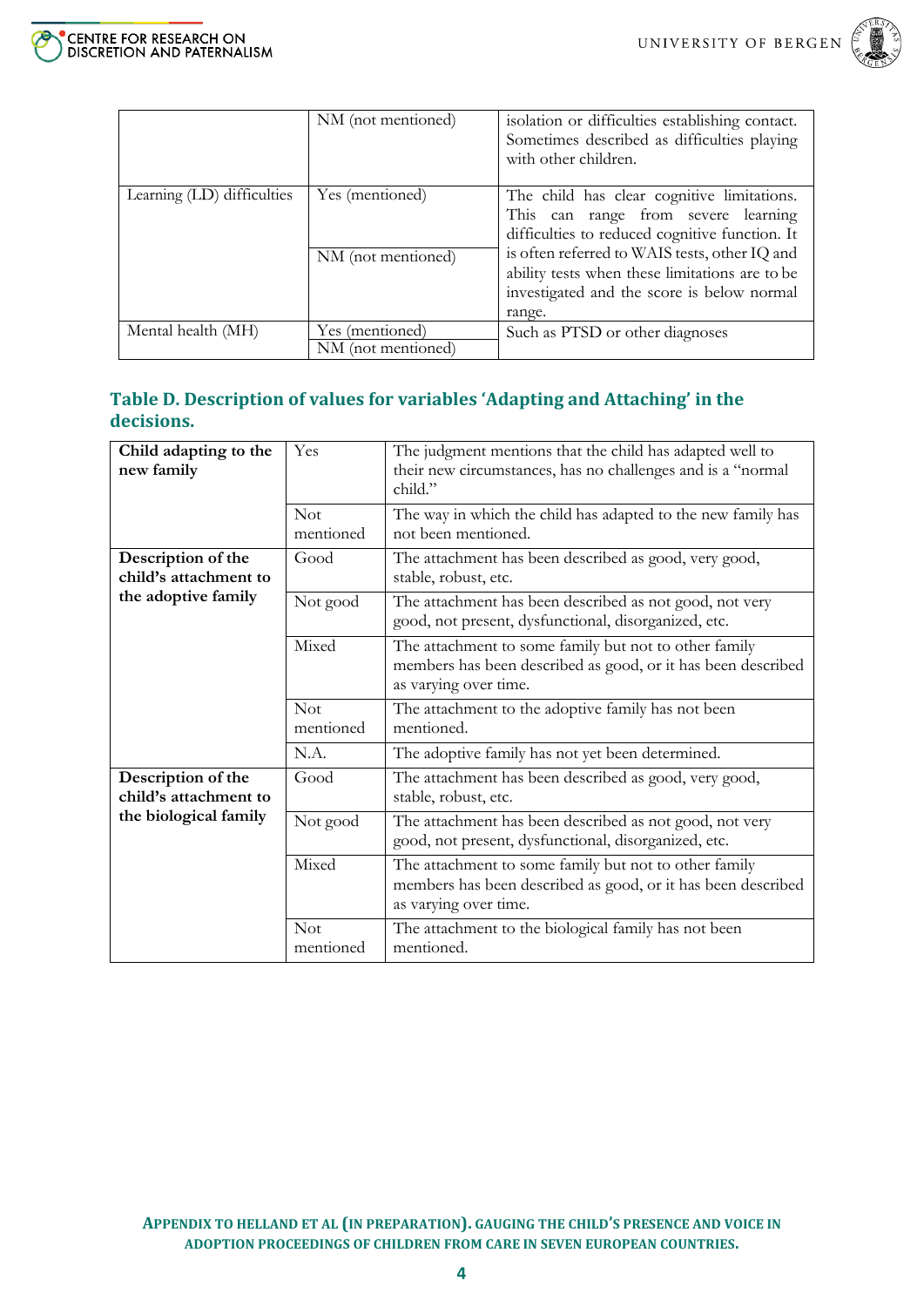

|                            | NM (not mentioned)                    | isolation or difficulties establishing contact.<br>Sometimes described as difficulties playing<br>with other children.                                                                                                                                                               |  |  |
|----------------------------|---------------------------------------|--------------------------------------------------------------------------------------------------------------------------------------------------------------------------------------------------------------------------------------------------------------------------------------|--|--|
| Learning (LD) difficulties | Yes (mentioned)<br>NM (not mentioned) | The child has clear cognitive limitations.<br>This can range from severe learning<br>difficulties to reduced cognitive function. It<br>is often referred to WAIS tests, other IQ and<br>ability tests when these limitations are to be<br>investigated and the score is below normal |  |  |
|                            |                                       | range.                                                                                                                                                                                                                                                                               |  |  |
| Mental health (MH)         | Yes (mentioned)<br>NM (not mentioned) | Such as PTSD or other diagnoses                                                                                                                                                                                                                                                      |  |  |

#### <span id="page-3-0"></span>**Table D. Description of values for variables 'Adapting and Attaching' in the decisions.**

| Child adapting to the<br>new family         | Yes                     | The judgment mentions that the child has adapted well to<br>their new circumstances, has no challenges and is a "normal"<br>child."            |  |  |  |  |
|---------------------------------------------|-------------------------|------------------------------------------------------------------------------------------------------------------------------------------------|--|--|--|--|
|                                             | <b>Not</b><br>mentioned | The way in which the child has adapted to the new family has<br>not been mentioned.                                                            |  |  |  |  |
| Description of the<br>child's attachment to | Good                    | The attachment has been described as good, very good,<br>stable, robust, etc.                                                                  |  |  |  |  |
| the adoptive family                         | Not good                | The attachment has been described as not good, not very<br>good, not present, dysfunctional, disorganized, etc.                                |  |  |  |  |
|                                             | Mixed                   | The attachment to some family but not to other family<br>members has been described as good, or it has been described<br>as varying over time. |  |  |  |  |
|                                             | <b>Not</b>              |                                                                                                                                                |  |  |  |  |
|                                             | mentioned               | The attachment to the adoptive family has not been<br>mentioned.                                                                               |  |  |  |  |
|                                             | N.A.                    | The adoptive family has not yet been determined.                                                                                               |  |  |  |  |
| Description of the<br>child's attachment to | Good                    | The attachment has been described as good, very good,<br>stable, robust, etc.                                                                  |  |  |  |  |
| the biological family                       | Not good                | The attachment has been described as not good, not very<br>good, not present, dysfunctional, disorganized, etc.                                |  |  |  |  |
|                                             | Mixed                   | The attachment to some family but not to other family<br>members has been described as good, or it has been described<br>as varying over time. |  |  |  |  |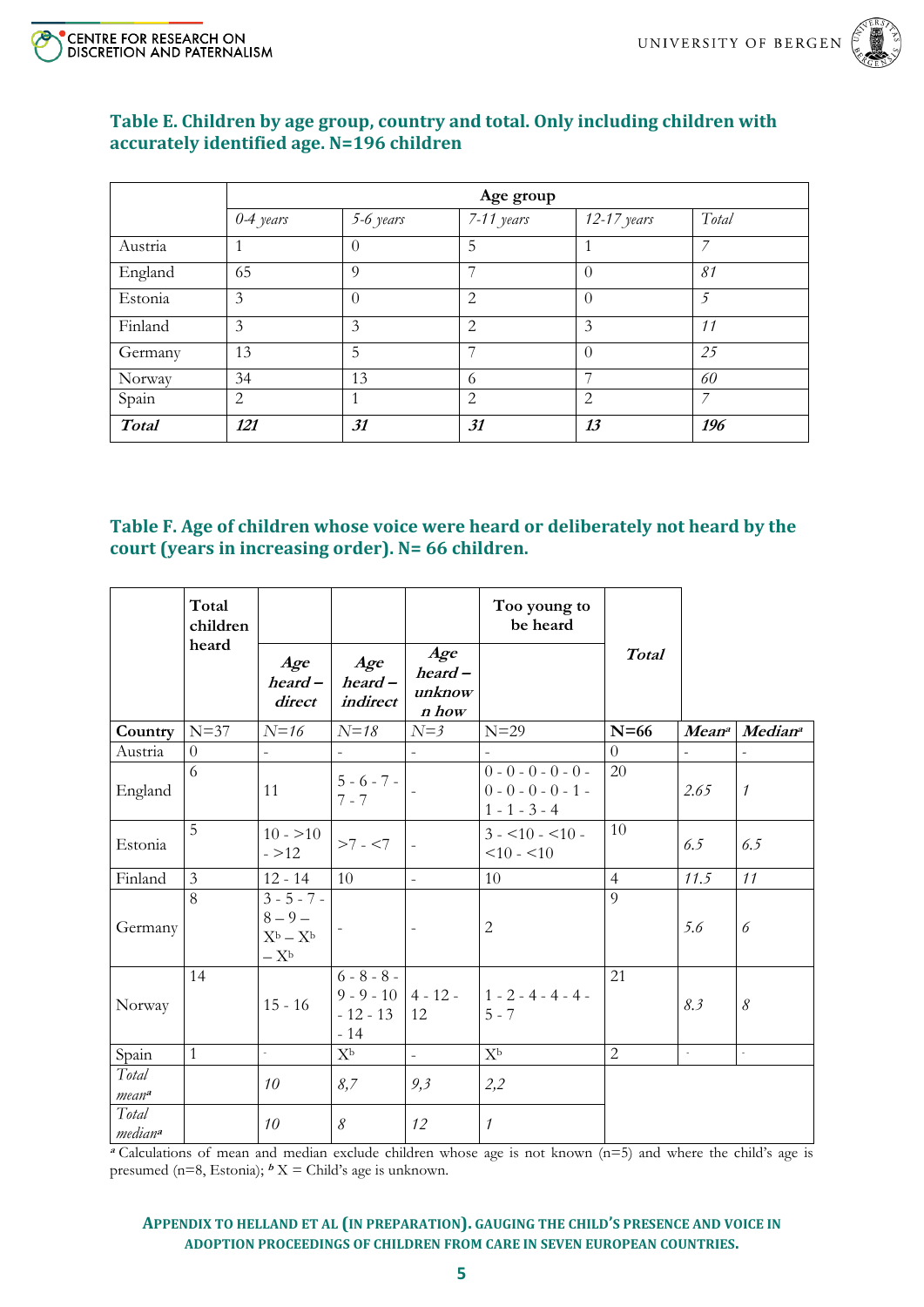



#### <span id="page-4-0"></span>**Table E. Children by age group, country and total. Only including children with accurately identified age. N=196 children**

|              | Age group   |                |                |                |       |  |  |  |
|--------------|-------------|----------------|----------------|----------------|-------|--|--|--|
|              | $0-4$ years | 5-6 years      | $7-11$ years   | $12-17$ years  | Total |  |  |  |
| Austria      |             | $\Omega$       | 5              |                | 7     |  |  |  |
| England      | 65          | $\overline{Q}$ |                | $\Omega$       | 81    |  |  |  |
| Estonia      | 3           | $\theta$       | $\overline{2}$ | $\Omega$       | 5     |  |  |  |
| Finland      | 3           | 3              | $\overline{2}$ | 3              | 11    |  |  |  |
| Germany      | 13          | 5              |                | $\Omega$       | 25    |  |  |  |
| Norway       | 34          | 13             | 6              |                | 60    |  |  |  |
| Spain        | 2           |                | 2              | $\overline{2}$ | 7     |  |  |  |
| <b>Total</b> | 121         | 31             | 31             | 13             | 196   |  |  |  |

#### <span id="page-4-1"></span>**Table F. Age of children whose voice were heard or deliberately not heard by the court (years in increasing order). N= 66 children.**

|                              | Total<br>children<br>heard |                                                                          |                                                               |                                                | Too young to<br>be heard                                          |                |                          |                |
|------------------------------|----------------------------|--------------------------------------------------------------------------|---------------------------------------------------------------|------------------------------------------------|-------------------------------------------------------------------|----------------|--------------------------|----------------|
|                              |                            | Age<br>$heard -$<br>direct                                               | Age<br>$heard -$<br>indirect                                  | Age<br>$\boldsymbol{heat}-$<br>unknow<br>n how |                                                                   | <b>Total</b>   |                          |                |
| Country                      | $N=37$                     | $N=16$                                                                   | $N = 18$                                                      | $N = 3$                                        | $N=29$                                                            | $N=66$         | <b>Meana</b>             | <b>Mediana</b> |
| Austria                      | $\overline{0}$             | $\frac{1}{2}$                                                            | $\overline{\phantom{a}}$                                      | $\bar{\phantom{a}}$                            |                                                                   | $\Omega$       | $\overline{\phantom{a}}$ | $\frac{1}{2}$  |
| England                      | 6                          | 11                                                                       | $5 - 6 - 7 -$<br>$7 - 7$                                      |                                                | $0 - 0 - 0 - 0 - 0 -$<br>$0 - 0 - 0 - 0 - 1 -$<br>$1 - 1 - 3 - 4$ | 20             | 2.65                     | $\mathcal{I}$  |
| Estonia                      | 5                          | $10 - 10$<br>$-212$                                                      | $>7 - 57$                                                     | $\overline{a}$                                 | $3 - 10 - 10 - 10$<br>$10 - 10$                                   | 10             | 6.5                      | 6.5            |
| Finland                      | 3                          | $12 - 14$                                                                | 10                                                            | $\overline{\phantom{a}}$                       | 10                                                                | $\overline{4}$ | 11.5                     | 11             |
| Germany                      | 8                          | $3 - 5 - 7 -$<br>$8 - 9 -$<br>$X^b - X^b$<br>$-\, \mathrm{X}^\mathrm{b}$ |                                                               | $\qquad \qquad \blacksquare$                   | $\sqrt{2}$                                                        | $\overline{9}$ | 5.6                      | 6              |
| Norway                       | 14                         | $15 - 16$                                                                | $6 - 8 - 8 -$<br>$9 - 9 - 10$ 4 - 12 -<br>$-12 - 13$<br>$-14$ | 12                                             | $1 - 2 - 4 - 4 - 4 -$<br>$5 - 7$                                  | 21             | 8.3                      | $\mathcal S$   |
| Spain                        | $\mathbf{1}$               | $\omega$                                                                 | $X^{\rm b}$                                                   | $\overline{a}$                                 | $X^{\rm b}$                                                       | 2              | $\mathcal{L}$            | L,             |
| Total<br>mean <sup>a</sup>   |                            | 10                                                                       | 8,7                                                           | 9,3                                            | 2,2                                                               |                |                          |                |
| Total<br>median <sup>a</sup> |                            | 10                                                                       | $\delta$                                                      | 12                                             | $\mathcal{I}$                                                     |                |                          |                |

**<sup>a</sup>** Calculations of mean and median exclude children whose age is not known (n=5) and where the child's age is presumed ( $n=8$ , Estonia);  $bX =$ Child's age is unknown.